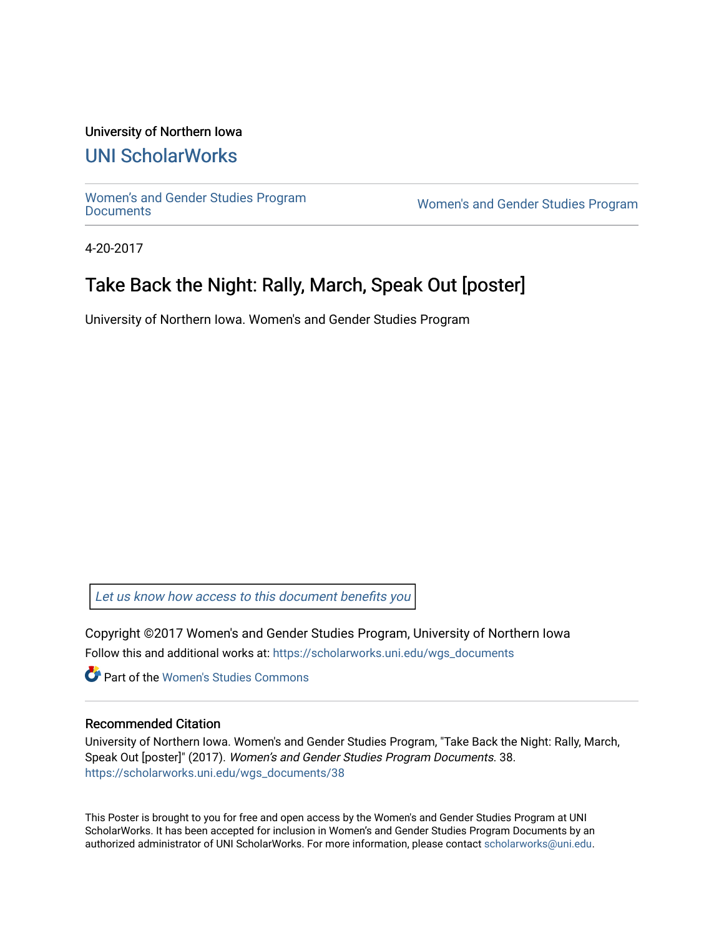#### University of Northern Iowa

## [UNI ScholarWorks](https://scholarworks.uni.edu/)

[Women's and Gender Studies Program](https://scholarworks.uni.edu/wgs_documents)<br>Documents

Women's and Gender Studies Program

4-20-2017

## Take Back the Night: Rally, March, Speak Out [poster]

University of Northern Iowa. Women's and Gender Studies Program

[Let us know how access to this document benefits you](https://scholarworks.uni.edu/feedback_form.html) 

Copyright ©2017 Women's and Gender Studies Program, University of Northern Iowa Follow this and additional works at: [https://scholarworks.uni.edu/wgs\\_documents](https://scholarworks.uni.edu/wgs_documents?utm_source=scholarworks.uni.edu%2Fwgs_documents%2F38&utm_medium=PDF&utm_campaign=PDFCoverPages)

**Part of the Women's Studies Commons** 

#### Recommended Citation

University of Northern Iowa. Women's and Gender Studies Program, "Take Back the Night: Rally, March, Speak Out [poster]" (2017). Women's and Gender Studies Program Documents. 38. [https://scholarworks.uni.edu/wgs\\_documents/38](https://scholarworks.uni.edu/wgs_documents/38?utm_source=scholarworks.uni.edu%2Fwgs_documents%2F38&utm_medium=PDF&utm_campaign=PDFCoverPages) 

This Poster is brought to you for free and open access by the Women's and Gender Studies Program at UNI ScholarWorks. It has been accepted for inclusion in Women's and Gender Studies Program Documents by an authorized administrator of UNI ScholarWorks. For more information, please contact [scholarworks@uni.edu.](mailto:scholarworks@uni.edu)